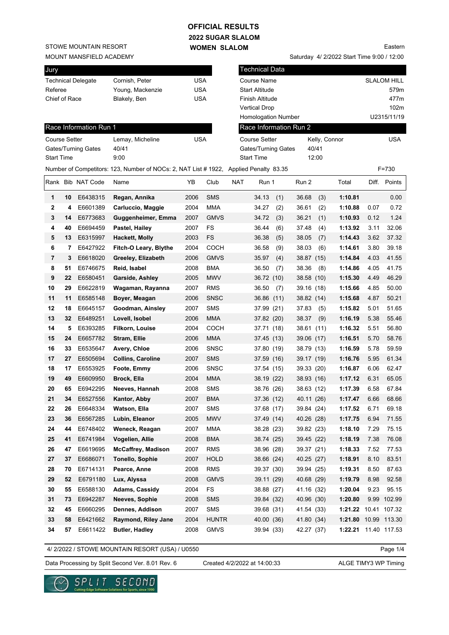# **OFFICIAL RESULTS**

Technical Data

**2022 SUGAR SLALOM WOMEN SLALOM** 

STOWE MOUNTAIN RESORT

MOUNT MANSFIELD ACADEMY

Jury

|               |    | Technical Delegate     | Cornish, Peter                                                                        | <b>USA</b> |              |            | Course Name                |     |                        |       |               |       | SLALOM HILL  |
|---------------|----|------------------------|---------------------------------------------------------------------------------------|------------|--------------|------------|----------------------------|-----|------------------------|-------|---------------|-------|--------------|
| Referee       |    |                        | Young, Mackenzie                                                                      | <b>USA</b> |              |            | <b>Start Altitude</b>      |     |                        |       |               |       | 579m         |
| Chief of Race |    |                        | Blakely, Ben                                                                          | <b>USA</b> |              |            | <b>Finish Altitude</b>     |     |                        |       |               |       | 477m         |
|               |    |                        |                                                                                       |            |              |            | <b>Vertical Drop</b>       |     |                        |       |               |       | 102m         |
|               |    |                        |                                                                                       |            |              |            | <b>Homologation Number</b> |     |                        |       |               |       | U2315/11/19  |
|               |    | Race Information Run 1 |                                                                                       |            |              |            |                            |     | Race Information Run 2 |       |               |       |              |
| Course Setter |    |                        | Lemay, Micheline                                                                      | <b>USA</b> |              |            | <b>Course Setter</b>       |     |                        |       | Kelly, Connor |       | <b>USA</b>   |
|               |    | Gates/Turning Gates    | 40/41                                                                                 |            |              |            | Gates/Turning Gates        |     |                        | 40/41 |               |       |              |
| Start Time    |    |                        | 9:00                                                                                  |            |              |            | <b>Start Time</b>          |     |                        | 12:00 |               |       |              |
|               |    |                        | Number of Competitors: 123, Number of NOCs: 2, NAT List # 1922, Applied Penalty 83.35 |            |              |            |                            |     |                        |       |               |       | $F = 730$    |
|               |    | Rank Bib NAT Code      | Name                                                                                  | YB         | Club         | <b>NAT</b> | Run 1                      |     | Run 2                  |       | Total         |       | Diff. Points |
| 1             | 10 | E6438315               | Regan, Annika                                                                         | 2006       | <b>SMS</b>   |            | 34.13                      | (1) | 36.68                  | (3)   | 1:10.81       |       | 0.00         |
| 2             | 4  | E6601389               | Carluccio, Maggie                                                                     | 2004       | MMA          |            | 34.27                      | (2) | 36.61                  | (2)   | 1:10.88       | 0.07  | 0.72         |
| 3             | 14 | E6773683               | Guggenheimer, Emma                                                                    | 2007       | <b>GMVS</b>  |            | 34.72                      | (3) | 36.21                  | (1)   | 1:10.93       | 0.12  | 1.24         |
| 4             | 40 | E6694459               | Pastel, Hailey                                                                        | 2007       | FS           |            | 36.44                      | (6) | 37.48                  | (4)   | 1:13.92       | 3.11  | 32.06        |
| 5             | 13 | E6315997               | Hackett, Molly                                                                        | 2003       | FS           |            | 36.38                      | (5) | 38.05                  | (7)   | 1:14.43       | 3.62  | 37.32        |
| 6             | 7  | E6427922               | Fitch-O Leary, Blythe                                                                 | 2004       | <b>COCH</b>  |            | 36.58                      | (9) | 38.03                  | (6)   | 1:14.61       | 3.80  | 39.18        |
| 7             | 3  | E6618020               | Greeley, Elizabeth                                                                    | 2006       | <b>GMVS</b>  |            | 35.97                      | (4) | 38.87                  | (15)  | 1:14.84       | 4.03  | 41.55        |
| 8             | 51 | E6746675               | Reid, Isabel                                                                          | 2008       | <b>BMA</b>   |            | 36.50                      | (7) | 38.36                  | (8)   | 1:14.86       | 4.05  | 41.75        |
| 9             | 22 | E6580451               | Garside, Ashley                                                                       | 2005       | <b>MWV</b>   |            | 36.72 (10)                 |     | 38.58 (10)             |       | 1:15.30       | 4.49  | 46.29        |
| 10            | 29 | E6622819               | Wagaman, Rayanna                                                                      | 2007       | <b>RMS</b>   |            | 36.50                      | (7) | 39.16 (18)             |       | 1:15.66       | 4.85  | 50.00        |
| 11            | 11 | E6585148               | Boyer, Meagan                                                                         | 2006       | <b>SNSC</b>  |            | 36.86 (11)                 |     | 38.82 (14)             |       | 1:15.68       | 4.87  | 50.21        |
| 12            | 18 | E6645157               | Goodman, Ainsley                                                                      | 2007       | <b>SMS</b>   |            | 37.99 (21)                 |     | 37.83                  | (5)   | 1:15.82       | 5.01  | 51.65        |
| 13            | 32 | E6489251               | Lovell, Isobel                                                                        | 2006       | <b>MMA</b>   |            | 37.82 (20)                 |     | 38.37                  | (9)   | 1:16.19       | 5.38  | 55.46        |
| 14            | 5  | E6393285               | Filkorn, Louise                                                                       | 2004       | <b>COCH</b>  |            | 37.71 (18)                 |     | 38.61 (11)             |       | 1:16.32       | 5.51  | 56.80        |
| 15            | 24 | E6657782               | Stram, Ellie                                                                          | 2006       | <b>MMA</b>   |            | 37.45 (13)                 |     | 39.06 (17)             |       | 1:16.51       | 5.70  | 58.76        |
| 16            | 33 | E6535647               | Avery, Chloe                                                                          | 2006       | <b>SNSC</b>  |            | 37.80 (19)                 |     | 38.79 (13)             |       | 1:16.59       | 5.78  | 59.59        |
| 17            | 27 | E6505694               | <b>Collins, Caroline</b>                                                              | 2007       | <b>SMS</b>   |            | 37.59(16)                  |     | 39.17 (19)             |       | 1:16.76       | 5.95  | 61.34        |
| 18            | 17 | E6553925               | Foote, Emmy                                                                           | 2006       | <b>SNSC</b>  |            | 37.54 (15)                 |     | 39.33 (20)             |       | 1:16.87       | 6.06  | 62.47        |
| 19            | 49 | E6609950               | Brock, Ella                                                                           | 2004       | MMA          |            | 38.19 (22)                 |     | 38.93 (16)             |       | 1:17.12       | 6.31  | 65.05        |
| 20            | 65 | E6942295               | Neeves, Hannah                                                                        | 2008       | <b>SMS</b>   |            | 38.76 (26)                 |     | 38.63 (12)             |       | 1:17.39       | 6.58  | 67.84        |
| 21            | 34 | E6527556               | Kantor, Abby                                                                          | 2007       | <b>BMA</b>   |            | 37.36 (12)                 |     | 40.11 (26)             |       | 1:17.47       | 6.66  | 68.66        |
| 22            | 26 | E6648334               | Watson, Ella                                                                          | 2007       | <b>SMS</b>   |            | 37.68 (17)                 |     | 39.84 (24)             |       | 1:17.52       | 6.71  | 69.18        |
| 23            | 36 | E6567285               | Lubin, Eleanor                                                                        | 2005       | <b>MWV</b>   |            | 37.49 (14)                 |     | 40.26 (28)             |       | 1:17.75       | 6.94  | 71.55        |
| 24            | 44 | E6748402               | Weneck, Reagan                                                                        | 2007       | MMA          |            | 38.28 (23)                 |     | 39.82 (23)             |       | 1:18.10       | 7.29  | 75.15        |
| 25            | 41 | E6741984               | Vogelien, Allie                                                                       | 2008       | <b>BMA</b>   |            | 38.74 (25)                 |     | 39.45 (22)             |       | 1:18.19       | 7.38  | 76.08        |
| 26            | 47 | E6619695               | <b>McCaffrey, Madison</b>                                                             | 2007       | <b>RMS</b>   |            | 38.96 (28)                 |     | 39.37 (21)             |       | 1:18.33       | 7.52  | 77.53        |
| 27            | 37 | E6686071               | Tonello, Sophie                                                                       | 2007       | <b>HOLD</b>  |            | 38.66 (24)                 |     | 40.25 (27)             |       | 1:18.91       | 8.10  | 83.51        |
| 28            | 70 | E6714131               | Pearce, Anne                                                                          | 2008       | <b>RMS</b>   |            | 39.37 (30)                 |     | 39.94 (25)             |       | 1:19.31       | 8.50  | 87.63        |
| 29            | 52 | E6791180               | Lux, Alyssa                                                                           | 2008       | <b>GMVS</b>  |            | 39.11 (29)                 |     | 40.68 (29)             |       | 1:19.79       | 8.98  | 92.58        |
| 30            | 55 | E6588130               | Adams, Cassidy                                                                        | 2004       | FS           |            | 38.88 (27)                 |     | 41.16 (32)             |       | 1:20.04       | 9.23  | 95.15        |
| 31            | 73 | E6942287               | Neeves, Sophie                                                                        | 2008       | <b>SMS</b>   |            | 39.84 (32)                 |     | 40.96 (30)             |       | 1:20.80       |       | 9.99 102.99  |
| 32            | 45 | E6660295               | Dennes, Addison                                                                       | 2007       | SMS          |            | 39.68 (31)                 |     | 41.54 (33)             |       | 1:21.22       | 10.41 | 107.32       |
| 33            | 58 | E6421662               | Raymond, Riley Jane                                                                   | 2004       | <b>HUNTR</b> |            | 40.00 (36)                 |     | 41.80 (34)             |       | 1:21.80       | 10.99 | 113.30       |

4/ 2/2022 / STOWE MOUNTAIN RESORT (USA) / U0550

Data Processing by Split Second Ver. 8.01 Rev. 6 Created 4/2/2022 at 14:00:33 ALGE TIMY3 WP Timing

Created 4/2/2022 at 14:00:33

**34 57** E6611422 **Butler, Hadley** 2008 GMVS 39.94 (33) 42.27 (37) **1:22.21** 11.40 117.53

Page 1/4



Saturday 4/ 2/2022 Start Time 9:00 / 12:00

Eastern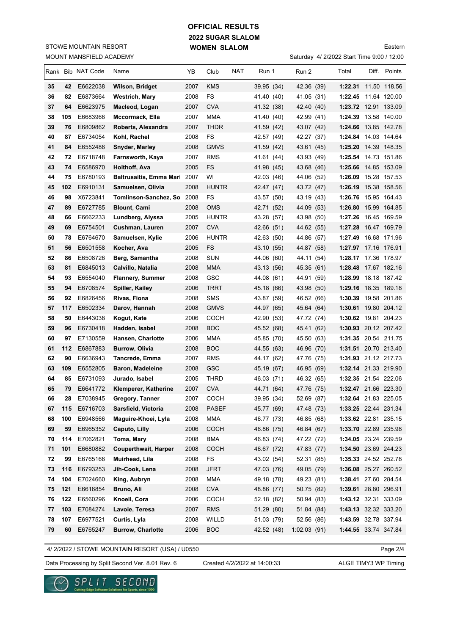# **2022 SUGAR SLALOM WOMEN SLALOM OFFICIAL RESULTS**

MOUNT MANSFIELD ACADEMY STOWE MOUNTAIN RESORT

# Saturday 4/ 2/2022 Start Time 9:00 / 12:00

Eastern

|          |            | Rank Bib NAT Code    | Name                         | YB           | Club                      | NAT | Run 1                    | Run 2                    | Total                                        | Diff. Points |
|----------|------------|----------------------|------------------------------|--------------|---------------------------|-----|--------------------------|--------------------------|----------------------------------------------|--------------|
| 35       | 42         | E6622038             | Wilson, Bridget              | 2007         | <b>KMS</b>                |     | 39.95 (34)               | 42.36 (39)               | 1:22.31 11.50 118.56                         |              |
| 36       | 82         | E6873664             | <b>Westrich, Mary</b>        | 2008         | <b>FS</b>                 |     | 41.40 (40)               | 41.05 (31)               | 1:22.45 11.64 120.00                         |              |
| 37       | 64         | E6623975             | Macleod, Logan               | 2007         | <b>CVA</b>                |     | 41.32 (38)               | 42.40 (40)               | 1:23.72 12.91 133.09                         |              |
| 38       | 105        | E6683966             | Mccormack, Ella              | 2007         | <b>MMA</b>                |     | 41.40 (40)               | 42.99 (41)               | 1:24.39 13.58 140.00                         |              |
| 39       | 76         | E6809862             | Roberts, Alexandra           | 2007         | <b>THDR</b>               |     | 41.59 (42)               | 43.07 (42)               | 1:24.66 13.85 142.78                         |              |
| 40       | 87         | E6734054             | Kohl, Rachel                 | 2008         | FS                        |     | 42.57 (49)               | 42.27 (37)               | 1:24.84 14.03 144.64                         |              |
| 41       | 84         | E6552486             | <b>Snyder, Marley</b>        | 2008         | <b>GMVS</b>               |     | 41.59 (42)               | 43.61 (45)               | 1:25.20 14.39 148.35                         |              |
| 42       | 72         | E6718748             | Farnsworth, Kaya             | 2007         | <b>RMS</b>                |     | 41.61 (44)               | 43.93 (49)               | 1:25.54                                      | 14.73 151.86 |
| 43       | 74         | E6586970             | <b>Holthoff, Ava</b>         | 2005         | FS                        |     | 41.98 (45)               | 43.68 (46)               | 1:25.66 14.85 153.09                         |              |
| 44       | 75         | E6780193             | Baltrusaitis, Emma Mari 2007 |              | WI                        |     | 42.03 (46)               | 44.06 (52)               | 1:26.09                                      | 15.28 157.53 |
| 45       | 102        | E6910131             | Samuelsen, Olivia            | 2008         | <b>HUNTR</b>              |     | 42.47 (47)               | 43.72 (47)               | 1:26.19 15.38 158.56                         |              |
| 46       | 98         | X6723841             | Tomlinson-Sanchez, So 2008   |              | FS                        |     | 43.57 (58)               | 43.19 (43)               | 1:26.76 15.95 164.43                         |              |
| 47       | 89         | E6727785             | <b>Blount, Cami</b>          | 2008         | <b>OMS</b>                |     | 42.71 (52)               | 44.09 (53)               | 1:26.80 15.99 164.85                         |              |
| 48       | 66         | E6662233             | Lundberg, Alyssa             | 2005         | <b>HUNTR</b>              |     | 43.28 (57)               | 43.98 (50)               | 1:27.26 16.45 169.59                         |              |
| 49       | 69         | E6754501             | Cushman, Lauren              | 2007         | <b>CVA</b>                |     | 42.66 (51)               | 44.62 (55)               | 1:27.28 16.47 169.79                         |              |
| 50       | 78         | E6764670             | Samuelsen, Kylie             | 2006         | <b>HUNTR</b>              |     | 42.63 (50)               | 44.86 (57)               | 1:27.49 16.68 171.96                         |              |
| 51       | 56         | E6501558             | Kocher, Ava                  | 2005         | FS                        |     | 43.10 (55)               | 44.87 (58)               | 1:27.97 17.16 176.91                         |              |
| 52       | 86         | E6508726             | Berg, Samantha               | 2008         | <b>SUN</b>                |     | 44.06 (60)               | 44.11 (54)               | 1:28.17                                      | 17.36 178.97 |
| 53       | 81         | E6845013             | Calvillo, Natalia            | 2008         | <b>MMA</b>                |     | 43.13 (56)               | 45.35 (61)               | 1:28.48 17.67 182.16                         |              |
| 54       | 93         | E6554040             | <b>Flannery, Summer</b>      | 2008         | GSC                       |     | 44.08 (61)               | 44.91 (59)               | 1:28.99 18.18 187.42                         |              |
| 55       | 94         | E6708574             | Spiller, Kailey              | 2006         | <b>TRRT</b>               |     | 45.18 (66)               | 43.98 (50)               | 1:29.16 18.35 189.18                         |              |
| 56       | 92         | E6826456             | Rivas, Fiona                 | 2008         | <b>SMS</b>                |     | 43.87 (59)               | 46.52 (66)               | 1:30.39 19.58 201.86                         |              |
| 57       | 117        | E6502334             | Darov, Hannah                | 2008         | <b>GMVS</b>               |     | 44.97 (65)               | 45.64 (64)               | 1:30.61 19.80 204.12                         |              |
| 58       | 50         | E6443038             | Kogut, Kate                  | 2006         | <b>COCH</b>               |     | 42.90 (53)               | 47.72 (74)               | 1:30.62 19.81 204.23                         |              |
| 59       | 96         | E6730418             | Hadden, Isabel               | 2008         | <b>BOC</b>                |     | 45.52 (68)               | 45.41 (62)               | 1:30.93 20.12 207.42                         |              |
| 60       | 97         | E7130559             | Hansen, Charlotte            | 2006         | <b>MMA</b>                |     | 45.85 (70)               | 45.50 (63)               | 1:31.35 20.54 211.75                         |              |
| 61       | 112        | E6867883             | <b>Burrow, Olivia</b>        | 2008         | <b>BOC</b>                |     | 44.55 (63)               | 46.96 (70)               | 1:31.51 20.70 213.40                         |              |
| 62       | 90         | E6636943             | Tancrede, Emma               | 2007         | <b>RMS</b>                |     | 44.17 (62)               | 47.76 (75)               | 1:31.93 21.12 217.73                         |              |
| 63       | 109        | E6552805             | <b>Baron, Madeleine</b>      | 2008         | <b>GSC</b>                |     | 45.19 (67)               | 46.95 (69)               | 1:32.14 21.33 219.90                         |              |
| 64       | 85         | E6731093             | Jurado, Isabel               | 2005         | <b>THRD</b>               |     | 46.03 (71)               | 46.32 (65)               | 1:32.35 21.54 222.06                         |              |
| 65       | 79         | E6641772             | Klemperer, Katherine         | 2007         | <b>CVA</b>                |     | 44.71 (64)               | 47.76 (75)               | 1:32.47 21.66 223.30                         |              |
| 66       | 28         | E7038945             | Gregory, Tanner              | 2007         | <b>COCH</b>               |     | 39.95 (34)               | 52.69 (87)               | 1:32.64 21.83 225.05                         |              |
| 67       | 115        | E6716703             | Sarsfield, Victoria          | 2008         | <b>PASEF</b>              |     | 45.77 (69)               | 47.48 (73)               | 1:33.25 22.44 231.34                         |              |
| 68       | 100        | E6948566             | Maguire-Khoei, Lyla          | 2008         | MMA                       |     | 46.77 (73)               | 46.85 (68)               | 1:33.62 22.81 235.15                         |              |
| 69       | 59         | E6965352             | Caputo, Lilly                | 2006         | <b>COCH</b>               |     | 46.86 (75)               | 46.84 (67)               | 1:33.70 22.89 235.98                         |              |
| 70       | 114        | E7062821             | Toma, Mary                   | 2008         | BMA                       |     | 46.83 (74)               | 47.22 (72)               | 1:34.05 23.24 239.59                         |              |
| 71<br>72 | 101        | E6680882<br>E6765166 | <b>Couperthwait, Harper</b>  | 2008         | COCH                      |     | 46.67 (72)               | 47.83 (77)               | 1:34.50 23.69 244.23                         |              |
|          | 99         |                      | Muirhead, Lila               | 2008         | FS                        |     | 43.02 (54)               | 52.31 (85)               | 1:35.33 24.52 252.78                         |              |
| 73<br>74 | 116<br>104 | E6793253<br>E7024660 | Jih-Cook, Lena               | 2008<br>2008 | <b>JFRT</b><br><b>MMA</b> |     | 47.03 (76)               | 49.05 (79)<br>49.23 (81) | 1:36.08 25.27 260.52<br>1:38.41 27.60 284.54 |              |
| 75       | 121        | E6616854             | King, Aubryn<br>Bruno, Ali   | 2008         | <b>CVA</b>                |     | 49.18 (78)<br>48.86 (77) | 50.75 (82)               | 1:39.61 28.80 296.91                         |              |
| 76       | 122        | E6560296             | Knoell, Cora                 | 2006         | COCH                      |     | 52.18 (82)               | 50.94 (83)               | 1:43.12 32.31 333.09                         |              |
| 77       | 103        | E7084274             | Lavoie, Teresa               | 2007         | <b>RMS</b>                |     | 51.29 (80)               | 51.84 (84)               | 1:43.13 32.32 333.20                         |              |
| 78       | 107        | E6977521             | Curtis, Lyla                 | 2008         | WILLD                     |     | 51.03 (79)               | 52.56 (86)               | 1:43.59 32.78 337.94                         |              |
| 79       | 60         | E6765247             | <b>Burrow, Charlotte</b>     | 2006         | <b>BOC</b>                |     | 42.52 (48)               | 1:02.03(91)              | 1:44.55 33.74 347.84                         |              |
|          |            |                      |                              |              |                           |     |                          |                          |                                              |              |

4/ 2/2022 / STOWE MOUNTAIN RESORT (USA) / U0550

Page 2/4

Data Processing by Split Second Ver. 8.01 Rev. 6 Created 4/2/2022 at 14:00:33 ALGE TIMY3 WP Timing

Created 4/2/2022 at 14:00:33

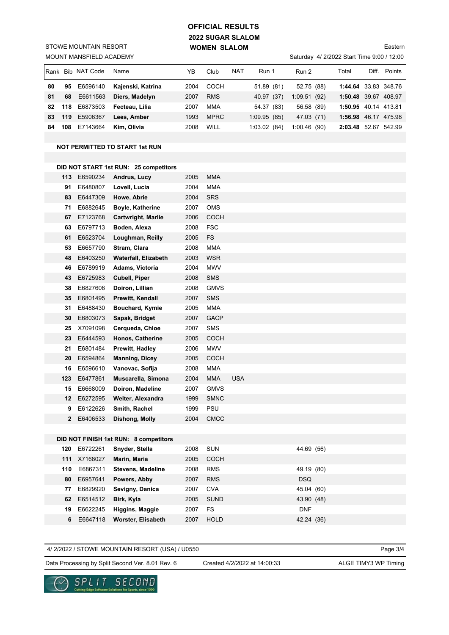# **2022 SUGAR SLALOM WOMEN SLALOM OFFICIAL RESULTS**

MOUNT MANSFIELD ACADEMY STOWE MOUNTAIN RESORT

### Saturday 4/ 2/2022 Start Time 9:00 / 12:00

Eastern

| IRank |     | Bib NAT Code | Name              | YB   | Club        | <b>NAT</b> | Run 1           | Run 2       | Total                | Diff. | Points       |
|-------|-----|--------------|-------------------|------|-------------|------------|-----------------|-------------|----------------------|-------|--------------|
| 80    | 95  | E6596140     | Kajenski, Katrina | 2004 | COCH        |            | 51.89 (81)      | 52.75 (88)  | 1:44.64 33.83 348.76 |       |              |
| 81    | 68  | E6611563     | Diers, Madelyn    | 2007 | <b>RMS</b>  |            | 40.97 (37)      | 1:09.51(92) | 1:50.48 39.67 408.97 |       |              |
| 82    | 118 | E6873503     | Fecteau, Lilia    | 2007 | <b>MMA</b>  |            | 54.37 (83)      | 56.58 (89)  | 1:50.95 40.14 413.81 |       |              |
| 83    | 119 | E5906367     | Lees, Amber       | 1993 | <b>MPRC</b> |            | 1:09.95(85)     | 47.03 (71)  | 1:56.98 46.17 475.98 |       |              |
| 84    | 108 | E7143664     | Kim. Olivia       | 2008 | WILL        |            | (84)<br>1:03.02 | 1:00.46(90) | 2:03.48              |       | 52.67 542.99 |

#### **NOT PERMITTED TO START 1st RUN**

#### **DID NOT START 1st RUN: 25 competitors**

| 113          | E6590234 | Andrus, Lucy                | 2005 | <b>MMA</b>  |            |
|--------------|----------|-----------------------------|------|-------------|------------|
| 91           | E6480807 | Lovell, Lucia               | 2004 | <b>MMA</b>  |            |
| 83           | E6447309 | Howe, Abrie                 | 2004 | <b>SRS</b>  |            |
| 71           | E6882645 | <b>Boyle, Katherine</b>     | 2007 | <b>OMS</b>  |            |
| 67           | E7123768 | <b>Cartwright, Marlie</b>   | 2006 | <b>COCH</b> |            |
| 63           | E6797713 | Boden, Alexa                | 2008 | <b>FSC</b>  |            |
| 61           | E6523704 | Loughman, Reilly            | 2005 | <b>FS</b>   |            |
| 53           | E6657790 | Stram, Clara                | 2008 | <b>MMA</b>  |            |
| 48           | E6403250 | <b>Waterfall, Elizabeth</b> | 2003 | <b>WSR</b>  |            |
| 46           | E6789919 | Adams, Victoria             | 2004 | <b>MWV</b>  |            |
| 43           | E6725983 | Cubell, Piper               | 2008 | <b>SMS</b>  |            |
| 38           | E6827606 | Doiron, Lillian             | 2008 | <b>GMVS</b> |            |
| 35           | E6801495 | Prewitt, Kendall            | 2007 | <b>SMS</b>  |            |
| 31           | E6488430 | Bouchard, Kymie             | 2005 | <b>MMA</b>  |            |
| 30           | E6803073 | Sapak, Bridget              | 2007 | <b>GACP</b> |            |
| 25           | X7091098 | Cerqueda, Chloe             | 2007 | <b>SMS</b>  |            |
| 23           | E6444593 | Honos, Catherine            | 2005 | <b>COCH</b> |            |
| 21           | E6801484 | Prewitt, Hadley             | 2006 | <b>MWV</b>  |            |
| 20           | E6594864 | <b>Manning, Dicey</b>       | 2005 | <b>COCH</b> |            |
| 16           | E6596610 | Vanovac, Sofija             | 2008 | <b>MMA</b>  |            |
| 123          | E6477861 | Muscarella, Simona          | 2004 | <b>MMA</b>  | <b>USA</b> |
| 15           | E6668009 | Doiron, Madeline            | 2007 | <b>GMVS</b> |            |
| 12           | E6272595 | Welter, Alexandra           | 1999 | <b>SMNC</b> |            |
| 9            | E6122626 | Smith, Rachel               | 1999 | <b>PSU</b>  |            |
| $\mathbf{2}$ | E6406533 | Dishong, Molly              | 2004 | <b>CMCC</b> |            |
|              |          |                             |      |             |            |

#### **DID NOT FINISH 1st RUN: 8 competitors**

| 120 | E6722261     | Snyder, Stella           | 2008 | <b>SUN</b>  | 44.69 (56) |
|-----|--------------|--------------------------|------|-------------|------------|
|     | 111 X7168027 | Marin, Maria             | 2005 | COCH        |            |
| 110 | E6867311     | <b>Stevens, Madeline</b> | 2008 | <b>RMS</b>  | 49.19 (80) |
| 80  | E6957641     | Powers, Abby             | 2007 | <b>RMS</b>  | DSQ.       |
| 77  | E6829920     | Sevigny, Danica          | 2007 | <b>CVA</b>  | 45.04 (60) |
| 62  | E6514512     | Birk, Kyla               | 2005 | SUND        | 43.90 (48) |
| 19  | E6622245     | Higgins, Maggie          | 2007 | FS          | <b>DNF</b> |
| 6   | E6647118     | Worster, Elisabeth       | 2007 | <b>HOLD</b> | 42.24 (36) |
|     |              |                          |      |             |            |

4/ 2/2022 / STOWE MOUNTAIN RESORT (USA) / U0550

Page 3/4

Data Processing by Split Second Ver. 8.01 Rev. 6 Created 4/2/2022 at 14:00:33 ALGE TIMY3 WP Timing

Created 4/2/2022 at 14:00:33